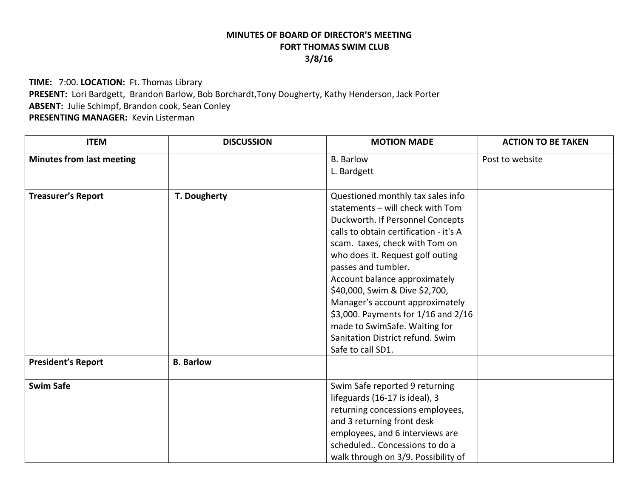## **MINUTES OF BOARD OF DIRECTOR'S MEETINGFORT THOMAS SWIM CLUB 3/8/16**

**TIME:** 7:00. **LOCATION:** Ft. Thomas Library **PRESENT:** Lori Bardgett, Brandon Barlow, Bob Borchardt,Tony Dougherty, Kathy Henderson, Jack Porter **ABSENT:** Julie Schimpf, Brandon cook, Sean Conley **PRESENTING MANAGER:** Kevin Listerman

| <b>ITEM</b>                                            | <b>DISCUSSION</b>                | <b>MOTION MADE</b>                                                                                                                                                                                                                                                                                                                                                                                                                                                                      | <b>ACTION TO BE TAKEN</b> |
|--------------------------------------------------------|----------------------------------|-----------------------------------------------------------------------------------------------------------------------------------------------------------------------------------------------------------------------------------------------------------------------------------------------------------------------------------------------------------------------------------------------------------------------------------------------------------------------------------------|---------------------------|
| <b>Minutes from last meeting</b>                       |                                  | <b>B.</b> Barlow<br>L. Bardgett                                                                                                                                                                                                                                                                                                                                                                                                                                                         | Post to website           |
| <b>Treasurer's Report</b><br><b>President's Report</b> | T. Dougherty<br><b>B.</b> Barlow | Questioned monthly tax sales info<br>statements - will check with Tom<br>Duckworth. If Personnel Concepts<br>calls to obtain certification - it's A<br>scam. taxes, check with Tom on<br>who does it. Request golf outing<br>passes and tumbler.<br>Account balance approximately<br>\$40,000, Swim & Dive \$2,700,<br>Manager's account approximately<br>\$3,000. Payments for 1/16 and 2/16<br>made to SwimSafe. Waiting for<br>Sanitation District refund. Swim<br>Safe to call SD1. |                           |
| <b>Swim Safe</b>                                       |                                  | Swim Safe reported 9 returning<br>lifeguards (16-17 is ideal), 3<br>returning concessions employees,<br>and 3 returning front desk<br>employees, and 6 interviews are<br>scheduled Concessions to do a<br>walk through on 3/9. Possibility of                                                                                                                                                                                                                                           |                           |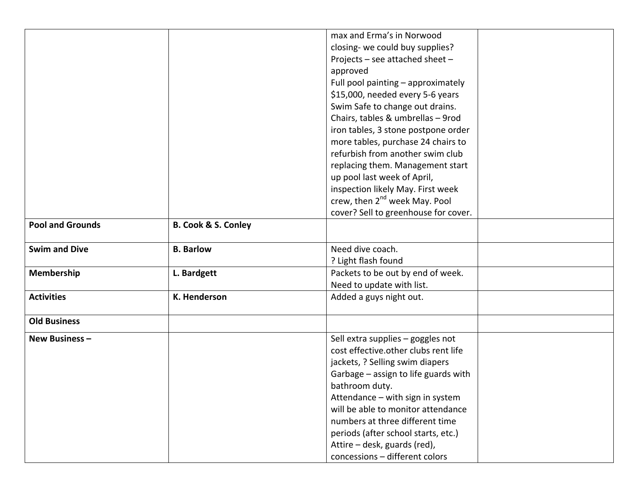|                         |                                | max and Erma's in Norwood                 |  |
|-------------------------|--------------------------------|-------------------------------------------|--|
|                         |                                | closing- we could buy supplies?           |  |
|                         |                                | Projects - see attached sheet -           |  |
|                         |                                | approved                                  |  |
|                         |                                | Full pool painting - approximately        |  |
|                         |                                | \$15,000, needed every 5-6 years          |  |
|                         |                                | Swim Safe to change out drains.           |  |
|                         |                                | Chairs, tables & umbrellas - 9rod         |  |
|                         |                                | iron tables, 3 stone postpone order       |  |
|                         |                                | more tables, purchase 24 chairs to        |  |
|                         |                                | refurbish from another swim club          |  |
|                         |                                | replacing them. Management start          |  |
|                         |                                | up pool last week of April,               |  |
|                         |                                | inspection likely May. First week         |  |
|                         |                                | crew, then 2 <sup>nd</sup> week May. Pool |  |
|                         |                                | cover? Sell to greenhouse for cover.      |  |
| <b>Pool and Grounds</b> | <b>B. Cook &amp; S. Conley</b> |                                           |  |
|                         |                                |                                           |  |
| <b>Swim and Dive</b>    | <b>B.</b> Barlow               | Need dive coach.                          |  |
|                         |                                | ? Light flash found                       |  |
| Membership              | L. Bardgett                    | Packets to be out by end of week.         |  |
|                         |                                | Need to update with list.                 |  |
| <b>Activities</b>       | K. Henderson                   | Added a guys night out.                   |  |
|                         |                                |                                           |  |
| <b>Old Business</b>     |                                |                                           |  |
| New Business-           |                                | Sell extra supplies - goggles not         |  |
|                         |                                | cost effective.other clubs rent life      |  |
|                         |                                | jackets, ? Selling swim diapers           |  |
|                         |                                | Garbage - assign to life guards with      |  |
|                         |                                | bathroom duty.                            |  |
|                         |                                | Attendance - with sign in system          |  |
|                         |                                | will be able to monitor attendance        |  |
|                         |                                | numbers at three different time           |  |
|                         |                                | periods (after school starts, etc.)       |  |
|                         |                                | Attire - desk, guards (red),              |  |
|                         |                                | concessions - different colors            |  |